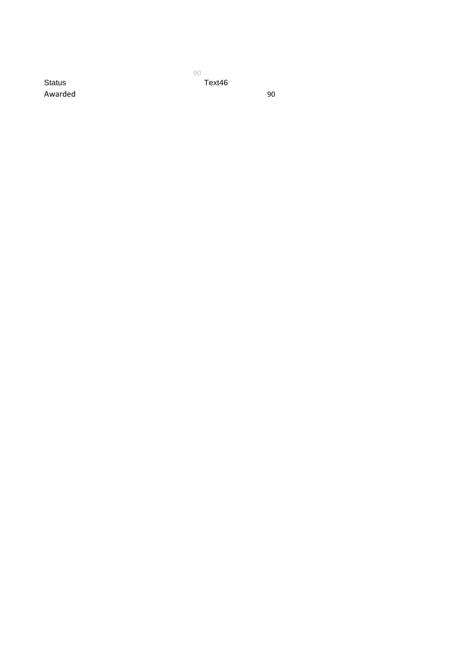90 31/03/2020 Status Text46

Awarded 90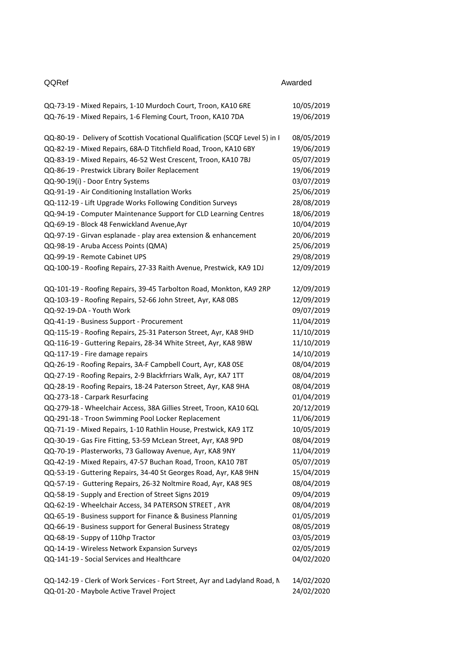| QQRef                                                                        | Awarded    |
|------------------------------------------------------------------------------|------------|
| QQ-73-19 - Mixed Repairs, 1-10 Murdoch Court, Troon, KA10 6RE                | 10/05/2019 |
| QQ-76-19 - Mixed Repairs, 1-6 Fleming Court, Troon, KA10 7DA                 | 19/06/2019 |
| QQ-80-19 - Delivery of Scottish Vocational Qualification (SCQF Level 5) in I | 08/05/2019 |
| QQ-82-19 - Mixed Repairs, 68A-D Titchfield Road, Troon, KA10 6BY             | 19/06/2019 |
| QQ-83-19 - Mixed Repairs, 46-52 West Crescent, Troon, KA10 7BJ               | 05/07/2019 |
| QQ-86-19 - Prestwick Library Boiler Replacement                              | 19/06/2019 |
| QQ-90-19(i) - Door Entry Systems                                             | 03/07/2019 |
| QQ-91-19 - Air Conditioning Installation Works                               | 25/06/2019 |
| QQ-112-19 - Lift Upgrade Works Following Condition Surveys                   | 28/08/2019 |
| QQ-94-19 - Computer Maintenance Support for CLD Learning Centres             | 18/06/2019 |
| QQ-69-19 - Block 48 Fenwickland Avenue, Ayr                                  | 10/04/2019 |
| QQ-97-19 - Girvan esplanade - play area extension & enhancement              | 20/06/2019 |
| QQ-98-19 - Aruba Access Points (QMA)                                         | 25/06/2019 |
| QQ-99-19 - Remote Cabinet UPS                                                | 29/08/2019 |
| QQ-100-19 - Roofing Repairs, 27-33 Raith Avenue, Prestwick, KA9 1DJ          | 12/09/2019 |
| QQ-101-19 - Roofing Repairs, 39-45 Tarbolton Road, Monkton, KA9 2RP          | 12/09/2019 |
| QQ-103-19 - Roofing Repairs, 52-66 John Street, Ayr, KA8 OBS                 | 12/09/2019 |
| QQ-92-19-DA - Youth Work                                                     | 09/07/2019 |
| QQ-41-19 - Business Support - Procurement                                    | 11/04/2019 |
| QQ-115-19 - Roofing Repairs, 25-31 Paterson Street, Ayr, KA8 9HD             | 11/10/2019 |
| QQ-116-19 - Guttering Repairs, 28-34 White Street, Ayr, KA8 9BW              | 11/10/2019 |
| QQ-117-19 - Fire damage repairs                                              | 14/10/2019 |
| QQ-26-19 - Roofing Repairs, 3A-F Campbell Court, Ayr, KA8 OSE                | 08/04/2019 |
| QQ-27-19 - Roofing Repairs, 2-9 Blackfrriars Walk, Ayr, KA7 1TT              | 08/04/2019 |
| QQ-28-19 - Roofing Repairs, 18-24 Paterson Street, Ayr, KA8 9HA              | 08/04/2019 |
| QQ-273-18 - Carpark Resurfacing                                              | 01/04/2019 |
| QQ-279-18 - Wheelchair Access, 38A Gillies Street, Troon, KA10 6QL           | 20/12/2019 |
| QQ-291-18 - Troon Swimming Pool Locker Replacement                           | 11/06/2019 |
| QQ-71-19 - Mixed Repairs, 1-10 Rathlin House, Prestwick, KA9 1TZ             | 10/05/2019 |
| QQ-30-19 - Gas Fire Fitting, 53-59 McLean Street, Ayr, KA8 9PD               | 08/04/2019 |
| QQ-70-19 - Plasterworks, 73 Galloway Avenue, Ayr, KA8 9NY                    | 11/04/2019 |
| QQ-42-19 - Mixed Repairs, 47-57 Buchan Road, Troon, KA10 7BT                 | 05/07/2019 |
| QQ-53-19 - Guttering Repairs, 34-40 St Georges Road, Ayr, KA8 9HN            | 15/04/2019 |
| QQ-57-19 - Guttering Repairs, 26-32 Noltmire Road, Ayr, KA8 9ES              | 08/04/2019 |
| QQ-58-19 - Supply and Erection of Street Signs 2019                          | 09/04/2019 |
| QQ-62-19 - Wheelchair Access, 34 PATERSON STREET, AYR                        | 08/04/2019 |
| QQ-65-19 - Business support for Finance & Business Planning                  | 01/05/2019 |
| QQ-66-19 - Business support for General Business Strategy                    | 08/05/2019 |
| QQ-68-19 - Suppy of 110hp Tractor                                            | 03/05/2019 |
| QQ-14-19 - Wireless Network Expansion Surveys                                | 02/05/2019 |
| QQ-141-19 - Social Services and Healthcare                                   | 04/02/2020 |
| QQ-142-19 - Clerk of Work Services - Fort Street, Ayr and Ladyland Road, N   | 14/02/2020 |
| QQ-01-20 - Maybole Active Travel Project                                     | 24/02/2020 |